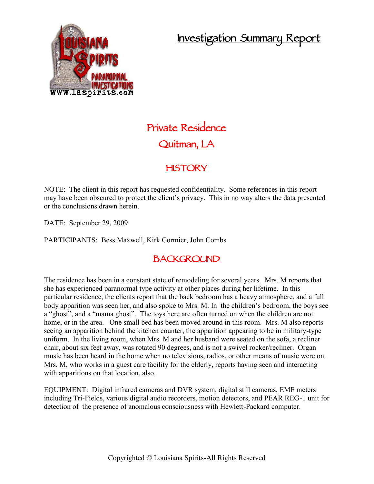## **Investigation Summary Report**



# **Private Residence Quitman, LA**

#### **HISTORY**

NOTE: The client in this report has requested confidentiality. Some references in this report may have been obscured to protect the client's privacy. This in no way alters the data presented or the conclusions drawn herein.

DATE: September 29, 2009

PARTICIPANTS: Bess Maxwell, Kirk Cormier, John Combs

#### **BACKGROUND**

The residence has been in a constant state of remodeling for several years. Mrs. M reports that she has experienced paranormal type activity at other places during her lifetime. In this particular residence, the clients report that the back bedroom has a heavy atmosphere, and a full body apparition was seen her, and also spoke to Mrs. M. In the children's bedroom, the boys see a "ghost", and a "mama ghost". The toys here are often turned on when the children are not home, or in the area. One small bed has been moved around in this room. Mrs. M also reports seeing an apparition behind the kitchen counter, the apparition appearing to be in military-type uniform. In the living room, when Mrs. M and her husband were seated on the sofa, a recliner chair, about six feet away, was rotated 90 degrees, and is not a swivel rocker/recliner. Organ music has been heard in the home when no televisions, radios, or other means of music were on. Mrs. M, who works in a guest care facility for the elderly, reports having seen and interacting with apparitions on that location, also.

EQUIPMENT: Digital infrared cameras and DVR system, digital still cameras, EMF meters including Tri-Fields, various digital audio recorders, motion detectors, and PEAR REG-1 unit for detection of the presence of anomalous consciousness with Hewlett-Packard computer.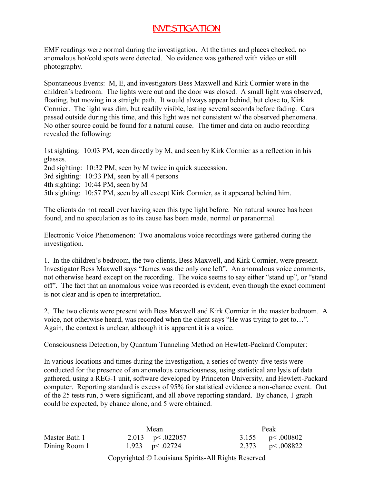### **INVESTIGATION**

EMF readings were normal during the investigation. At the times and places checked, no anomalous hot/cold spots were detected. No evidence was gathered with video or still photography.

Spontaneous Events: M, E, and investigators Bess Maxwell and Kirk Cormier were in the children's bedroom. The lights were out and the door was closed. A small light was observed, floating, but moving in a straight path. It would always appear behind, but close to, Kirk Cormier. The light was dim, but readily visible, lasting several seconds before fading. Cars passed outside during this time, and this light was not consistent w/ the observed phenomena. No other source could be found for a natural cause. The timer and data on audio recording revealed the following:

1st sighting: 10:03 PM, seen directly by M, and seen by Kirk Cormier as a reflection in his glasses. 2nd sighting: 10:32 PM, seen by M twice in quick succession. 3rd sighting: 10:33 PM, seen by all 4 persons 4th sighting: 10:44 PM, seen by M 5th sighting: 10:57 PM, seen by all except Kirk Cormier, as it appeared behind him.

The clients do not recall ever having seen this type light before. No natural source has been found, and no speculation as to its cause has been made, normal or paranormal.

Electronic Voice Phenomenon: Two anomalous voice recordings were gathered during the investigation.

1. In the children's bedroom, the two clients, Bess Maxwell, and Kirk Cormier, were present. Investigator Bess Maxwell says "James was the only one left". An anomalous voice comments, not otherwise heard except on the recording. The voice seems to say either "stand up", or "stand off". The fact that an anomalous voice was recorded is evident, even though the exact comment is not clear and is open to interpretation.

2. The two clients were present with Bess Maxwell and Kirk Cormier in the master bedroom. A voice, not otherwise heard, was recorded when the client says "He was trying to get to…". Again, the context is unclear, although it is apparent it is a voice.

Consciousness Detection, by Quantum Tunneling Method on Hewlett-Packard Computer:

In various locations and times during the investigation, a series of twenty-five tests were conducted for the presence of an anomalous consciousness, using statistical analysis of data gathered, using a REG-1 unit, software developed by Princeton University, and Hewlett-Packard computer. Reporting standard is excess of 95% for statistical evidence a non-chance event. Out of the 25 tests run, 5 were significant, and all above reporting standard. By chance, 1 graph could be expected, by chance alone, and 5 were obtained.

|               | Mean               |                     | Peak |                        |  |
|---------------|--------------------|---------------------|------|------------------------|--|
| Master Bath 1 |                    | 2.013 $p < .022057$ |      | 3.155 $p < .000802$    |  |
| Dining Room 1 | 1.923 $p < .02724$ |                     |      | 2.373 $p \le 0.008822$ |  |

Copyrighted © Louisiana Spirits-All Rights Reserved